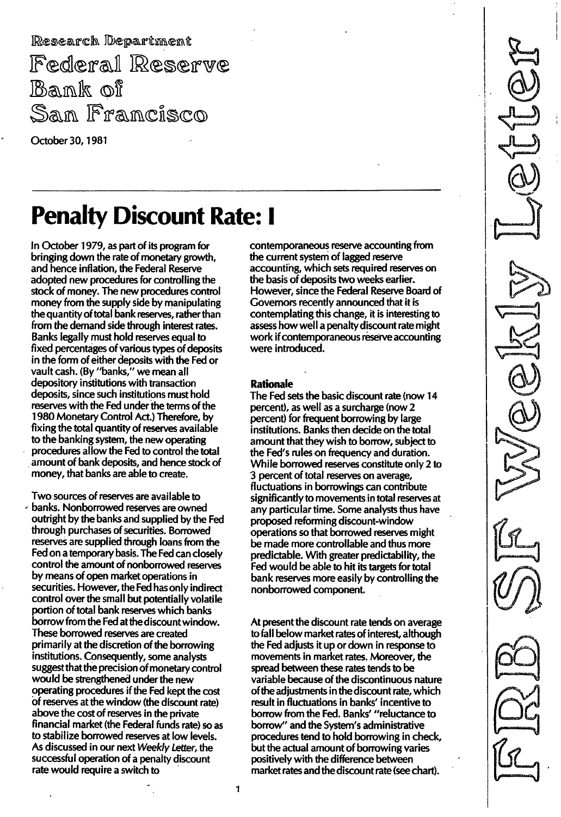Research Department Federal Reserve Bank of San Francisco

October 30, 1981

# **Penalty Discount Rate: I**

In October 1979, as part of its program for bringing down the rate of monetary growth, and hence inflation, the Federal Reserve adopted new procedures for controlling the stock of money. The new procedures control money from the supply side by manipulating the quantity of total bank reserves, rather than from the demand side through interest rates. Banks legally must hold reserves equal to fixed percentages of various types of deposits in the form of either deposits with the Fed or vault cash. (By "banks," we mean all depository institutions with transaction deposits, since such institutions must hold reserves with the Fed under the terms of the 1 980 Monetary Control Act.) Therefore, by fixing the total quantity of reserves available to the banking system, the new operating procedures allow the Fed to control the total amount of bank deposits, and hence stock of money, that banks are able to create.

Two sources of reserves are available to / banks. Nonborrowed reserves are owned outright by the banks and supplied by the Fed through purchases of securities. Borrowed reserves are supplied through loans from the Fed on a temporary basis. The Fed can closely control the amount of nonborrowed reserves by means of open market operations in securities. However, the Fed has only indirect control over the small but potentially volatile portion of total bank reserves which banks borrow from the Fed at the discount window. These borrowed reserves are created primarily at the discretion of the borrowing institutions. Consequently, some analysts suggest that the precision of monetary control would be strengthened under the new operating procedures if the Fed kept the cost 6f reserves at the window (the discount rate) above the cost of reserves in the private financial market (the Federal funds rate) so as to stabilize borrowed reserves at low levels. As discussed in our next Weekly Letter, the successful operation of a penalty discount rate would require a switch to

contemporaneous reserve accounting from the current system of lagged reserve accounting, which sets required reserves on the basis of deposits two weeks earlier. However, since the Federal Reserve Board of Governors recently announced that it is contemplating this change, it is interesting to assess how well a penalty discount rate might work if contemporaneous reserve accounting were introduced.

#### Rationale

The Fed sets the basic discount rate (now 14 percent), as well as a surcharge (now 2 percent) for frequent borrowing by large institutions. Banks then decide on the total amount that they wish to borrow, subject to the Fed's rules on frequency and duration. While borrowed reserves constitute only 2 to 3 percent of total reserves on average, fluctuations in borrowings can contribute significantly to movements in total reserves at any particular time. Some analysts thus have proposed reforming discount-window operations so that borrowed reserves might be made more controllable and thus more predictable. With greater predictability, the Fed would be able to hit its targets for total bank reserves more easily by controlling the nonborrowed component.

At present the discount rate tends on average to fall below market rates of interest, although the Fed adjusts it up or down in response to movements in market rates. Moreover, the spread between these rates tends to be variable because of the discontinuous nature of the adjustments in the discount rate, which result in fluctuations in banks' incentive to borrow from the Fed. Banks' "reluctance to borrow" and the System's administrative procedures tend to hold borrowing in check, but the actual amount of borrowing varies positively with the difference between market rates and the discount rate (see chart).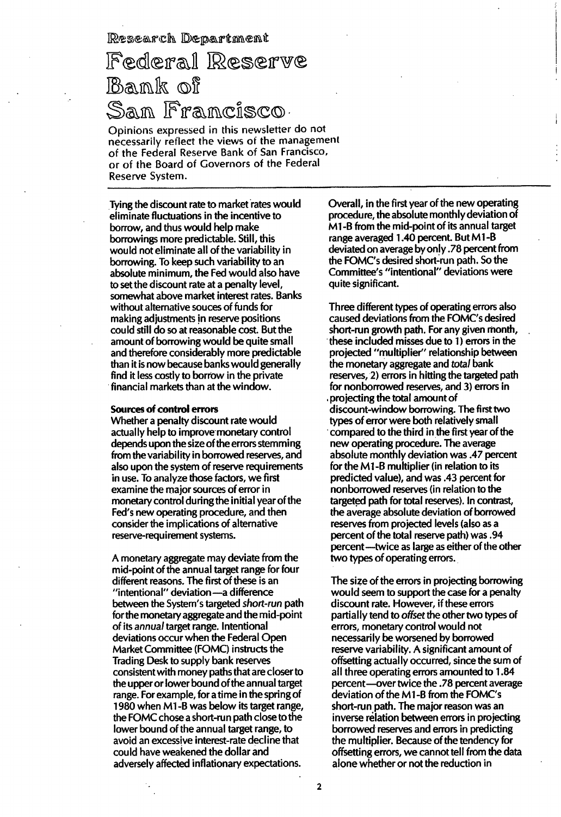Research Department

## Federal Reserve Bank of San Francisco,

Opinions expressed in this newsletter do not necessarily reflect the views of the management of the Federal Reserve Bank of San Francisco, or of the Board of Covernors of the Federal Reserve System.

Tying the discount rate to market rates would eliminate fluctuations in the incentive to borrow, and thus would help make borrowings more predictable. Still, this would not eliminate all of the variability in borrowing. To keep such variability to an absolute minimum, the Fed would also have to set the discount rate at a penalty level, somewhat above market interest rates. Banks without alternative souces of funds for making adjustments in reserve positions cou Id still do so at reasonable cost. But the amount of borrowing would be quite small and therefore considerably more predictable than it is now because banks would generally find it less costly to borrow in the private financial markets than at the window.

#### Sources of control errors

Whether a penalty discount rate would actually help to improve monetary control depends upon the size of the errors stemming from the variability in borrowed reserves, and also upon the system of reserve requirements in use. To analyze those factors, we first examine the major sources of error in monetary control during the initial year of the Fed's new operating procedure, and then consider the implications of alternative reserve-requirement systems.

A monetary aggregate may deviate from the mid-point of the annual target range for four different reasons. The first of these is an "intentional" deviation - a difference between the System's targeted short-run path for the monetary aggregate and the mid-point of its annual target range. Intentional deviations occur when the Federal Open Market Committee (FOMC) instructs the Trading Desk to supply bank reserves consistent with money paths that are closer to the upper or lower bound of the annual target range. For example, for a time in the spring of 1980 when M1-B was below its target range, the FOMC chose a short-run path close to the lower bound of the annual target range, to avoid an excessive interest-rate decline that could have weakened the dollar and adversely affected inflationary expectations.

Overall, in the first year of the new operating procedure, the absolute monthly deviation of M1-B from the mid-point of its annual target range averaged 1.40 percent. But M1-B deviated on average by only .78 percent from the FOMC's desired short-run path. So the Committee's "intentional" deviations were quite significant.

Three different types of operating errors also caused deviations from the FOMC's desired short-run growth path. For any given month, these included misses due to 1) errors in the projected "multiplier" relationship between the monetary aggregate and total bank reserves, 2) errors in hitting the targeted path for nonborrowed reserves, and 3) errors in ,projecting the total amount of discount-window borrowing. The first two types of error were both relatively small . compared to the third in the first year of the new operating procedure. The average absolute monthly deviation was .47 percent for the M1-B multiplier (in relation to its predicted value), and was .43 percent for non borrowed reserves (in relation to the targeted path for total reserves). In contrast, the average absolute deviation of borrowed reserves from projected levels (also as a percent of the total reserve path) was. 94 percent --- twice as large as either of the other two types of operating errors.

The size of the errors in projecting borrowing would seem to support the case for a penalty discount rate. However, if these errors partially tend to offset the other two types of errors, monetary control would not necessarily be worsened by borrowed reserve variability. A significant amount of offsetting actually occurred, since the sum of all three operating errors amounted to 1.84 percent -- over twice the .78 percent average deviation of the Ml-B from the FOMC's short-run path. The major reason was an inverse relation between errors in projecting borrowed reserves and errors in predicting the multiplier. Because of the tendency for offsetting errors, we cannot tell from the data alone whether or not the reduction in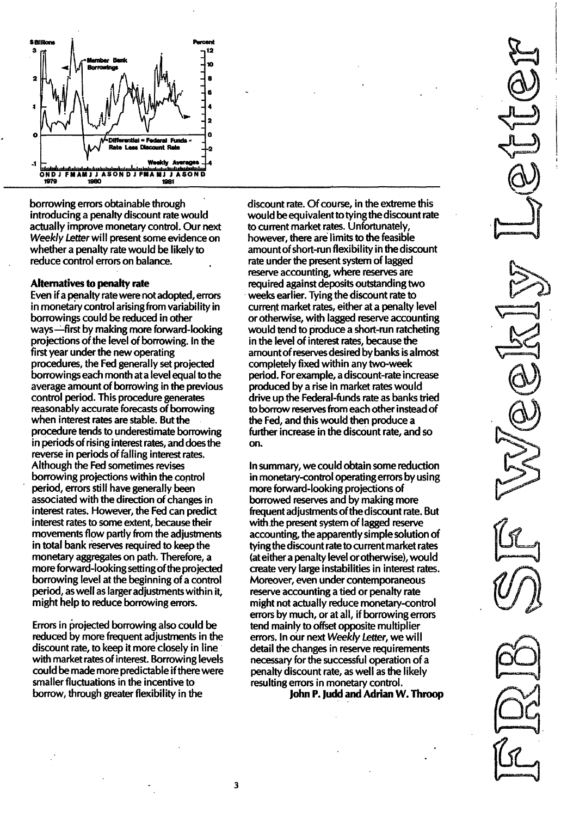

borrowing errors obtainable through introducing a penalty discount rate would actually improve monetary control. Our next Weekly Letter will present some evidence on whether a penalty rate would be likely to reduce control errors on balance.

#### Alternatives to penalty rate

Even if a penalty rate were not adopted, errors in monetary control arising from variability in borrowings could be reduced in other ways-first by making more forward-looking projections of the level of borrowing. In the first year under the new operating procedures, the Fed generally set projected borrowings each month at a level equal to the average amount of borrowing in the previous control period. This procedure generates reasonably accurate forecasts of borrowing when interest rates are stable. But the procedure tends to underestimate borrowing in periods of rising interest rates, and does the reverse in periods of falling interest rates. Although the Fed sometimes revises borrowing projections within the control period, errors still have generally been associated with the direction of changes in interest rates. However, the Fed can predict interest rates to some extent, because their movements flow partly from the adjustments in total bank reserves required to keep the monetary aggregates on path. Therefore, a more forward-looking setting of the projected borrowing level at the beginning of a control period, as well as larger adjustments within it, might help to reduce borrowing errors.

Errors in projected borrowing also could be reduced by more frequent adjustments in the discount rate, to keep it more closely in line with market rates of interest. Borrowing levels could be made more predictable if there were smaller fluctuations in the incentive to borrow, through greater flexibility in the

discount rate. Of course, in the extreme this would be equivalent to tying the discount rate to current market rates. Unfortunately, however, there are limits to the feasible amountof short-run flexibility in the discount rate under the present system of lagged reserve accounting, where reserves are required against deposits outstanding two weeks earlier. Tying the discount rate to current market rates, either at a penalty level or otherwise, with lagged reserve accounting would tend to produce a short-run ratcheting in the level of interest rates, because the amountof reserves desired by banks is almost completely fixed within any two-week period. For example, a discount-rate increase produced by a rise in market rates would drive up the Federal-funds rate as banks tried to borrow reserves from each other instead of the Fed, and this would then produce a further increase in the discount rate, and so on.

In summary, we could obtain some reduction in monetary-control operating errors by using more forward-looking projections of borrowed reserves and by making more frequent adjustments of the discount rate. But with the present system of lagged reserve accounting, the apparently simple solution of tying the discount rate to current market rates (ateither a penalty level or otherwise), would create very large instabilities in interest rates. Moreover, even under contemporaneous reserve accounting a tied or penalty rate might not actually reduce monetary-control errors by much, or at all, if borrowing errors tend mainly to offset opposite multiplier errors. In our next Weekly Letter, we will detail the changes in reserve requirements necessary for the successful operation of a penalty discount rate, as well as the likely resulting errors in monetary control.

JohnP. Judd and Adrian W. Throop